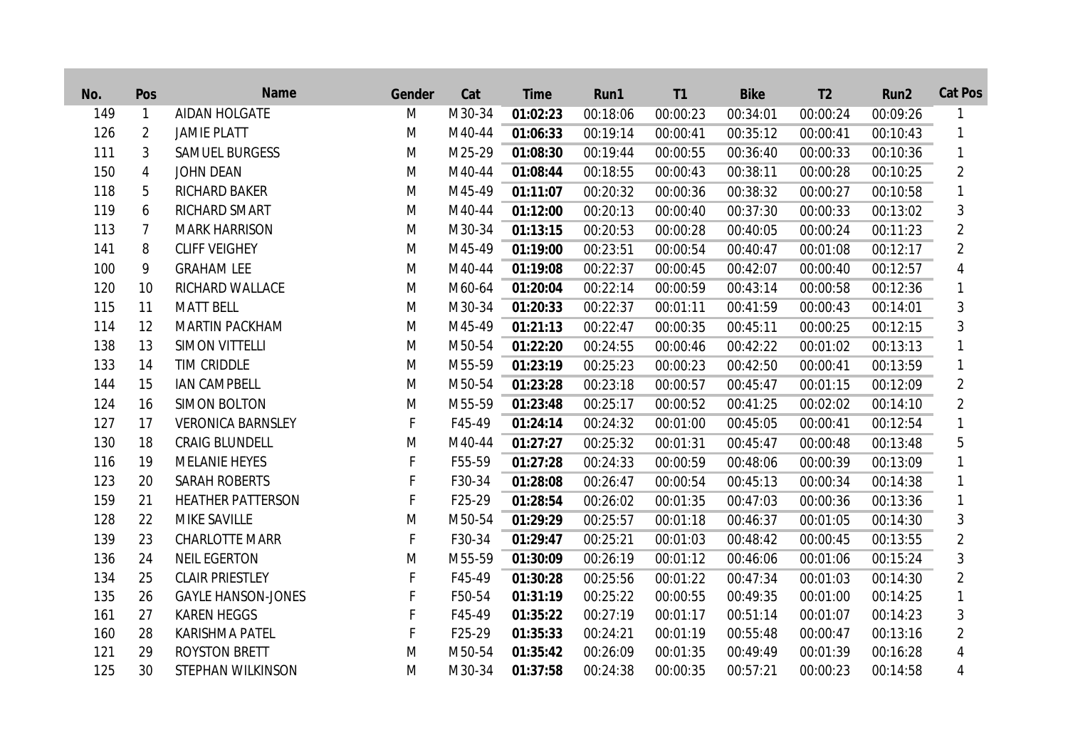| No. | Pos            | Name                      | Gender | Cat    | <b>Time</b> | Run1     | T <sub>1</sub> | <b>Bike</b> | T <sub>2</sub> | Run <sub>2</sub> | <b>Cat Pos</b> |
|-----|----------------|---------------------------|--------|--------|-------------|----------|----------------|-------------|----------------|------------------|----------------|
| 149 | $\mathbf{1}$   | <b>AIDAN HOLGATE</b>      | M      | M30-34 | 01:02:23    | 00:18:06 | 00:00:23       | 00:34:01    | 00:00:24       | 00:09:26         | 1              |
| 126 | $\overline{2}$ | <b>JAMIE PLATT</b>        | M      | M40-44 | 01:06:33    | 00:19:14 | 00:00:41       | 00:35:12    | 00:00:41       | 00:10:43         | 1              |
| 111 | 3              | <b>SAMUEL BURGESS</b>     | M      | M25-29 | 01:08:30    | 00:19:44 | 00:00:55       | 00:36:40    | 00:00:33       | 00:10:36         | 1              |
| 150 | 4              | <b>JOHN DEAN</b>          | M      | M40-44 | 01:08:44    | 00:18:55 | 00:00:43       | 00:38:11    | 00:00:28       | 00:10:25         | $\overline{2}$ |
| 118 | 5              | <b>RICHARD BAKER</b>      | M      | M45-49 | 01:11:07    | 00:20:32 | 00:00:36       | 00:38:32    | 00:00:27       | 00:10:58         | 1              |
| 119 | 6              | <b>RICHARD SMART</b>      | M      | M40-44 | 01:12:00    | 00:20:13 | 00:00:40       | 00:37:30    | 00:00:33       | 00:13:02         | 3              |
| 113 | $\overline{7}$ | <b>MARK HARRISON</b>      | M      | M30-34 | 01:13:15    | 00:20:53 | 00:00:28       | 00:40:05    | 00:00:24       | 00:11:23         | $\overline{2}$ |
| 141 | 8              | <b>CLIFF VEIGHEY</b>      | M      | M45-49 | 01:19:00    | 00:23:51 | 00:00:54       | 00:40:47    | 00:01:08       | 00:12:17         | $\overline{2}$ |
| 100 | 9              | <b>GRAHAM LEE</b>         | M      | M40-44 | 01:19:08    | 00:22:37 | 00:00:45       | 00:42:07    | 00:00:40       | 00:12:57         | 4              |
| 120 | 10             | <b>RICHARD WALLACE</b>    | M      | M60-64 | 01:20:04    | 00:22:14 | 00:00:59       | 00:43:14    | 00:00:58       | 00:12:36         | 1              |
| 115 | 11             | <b>MATT BELL</b>          | M      | M30-34 | 01:20:33    | 00:22:37 | 00:01:11       | 00:41:59    | 00:00:43       | 00:14:01         | 3              |
| 114 | 12             | <b>MARTIN PACKHAM</b>     | M      | M45-49 | 01:21:13    | 00:22:47 | 00:00:35       | 00:45:11    | 00:00:25       | 00:12:15         | 3              |
| 138 | 13             | <b>SIMON VITTELLI</b>     | M      | M50-54 | 01:22:20    | 00:24:55 | 00:00:46       | 00:42:22    | 00:01:02       | 00:13:13         |                |
| 133 | 14             | <b>TIM CRIDDLE</b>        | M      | M55-59 | 01:23:19    | 00:25:23 | 00:00:23       | 00:42:50    | 00:00:41       | 00:13:59         | 1              |
| 144 | 15             | <b>IAN CAMPBELL</b>       | M      | M50-54 | 01:23:28    | 00:23:18 | 00:00:57       | 00:45:47    | 00:01:15       | 00:12:09         | $\overline{2}$ |
| 124 | 16             | <b>SIMON BOLTON</b>       | M      | M55-59 | 01:23:48    | 00:25:17 | 00:00:52       | 00:41:25    | 00:02:02       | 00:14:10         | $\overline{2}$ |
| 127 | 17             | <b>VERONICA BARNSLEY</b>  | F      | F45-49 | 01:24:14    | 00:24:32 | 00:01:00       | 00:45:05    | 00:00:41       | 00:12:54         |                |
| 130 | 18             | <b>CRAIG BLUNDELL</b>     | M      | M40-44 | 01:27:27    | 00:25:32 | 00:01:31       | 00:45:47    | 00:00:48       | 00:13:48         | 5              |
| 116 | 19             | <b>MELANIE HEYES</b>      | F      | F55-59 | 01:27:28    | 00:24:33 | 00:00:59       | 00:48:06    | 00:00:39       | 00:13:09         | 1              |
| 123 | 20             | <b>SARAH ROBERTS</b>      | F      | F30-34 | 01:28:08    | 00:26:47 | 00:00:54       | 00:45:13    | 00:00:34       | 00:14:38         | 1              |
| 159 | 21             | <b>HEATHER PATTERSON</b>  | F      | F25-29 | 01:28:54    | 00:26:02 | 00:01:35       | 00:47:03    | 00:00:36       | 00:13:36         | 1              |
| 128 | 22             | <b>MIKE SAVILLE</b>       | M      | M50-54 | 01:29:29    | 00:25:57 | 00:01:18       | 00:46:37    | 00:01:05       | 00:14:30         | 3              |
| 139 | 23             | <b>CHARLOTTE MARR</b>     | F      | F30-34 | 01:29:47    | 00:25:21 | 00:01:03       | 00:48:42    | 00:00:45       | 00:13:55         | $\overline{2}$ |
| 136 | 24             | <b>NEIL EGERTON</b>       | M      | M55-59 | 01:30:09    | 00:26:19 | 00:01:12       | 00:46:06    | 00:01:06       | 00:15:24         | 3              |
| 134 | 25             | <b>CLAIR PRIESTLEY</b>    | F      | F45-49 | 01:30:28    | 00:25:56 | 00:01:22       | 00:47:34    | 00:01:03       | 00:14:30         | $\overline{2}$ |
| 135 | 26             | <b>GAYLE HANSON-JONES</b> | F      | F50-54 | 01:31:19    | 00:25:22 | 00:00:55       | 00:49:35    | 00:01:00       | 00:14:25         | 1              |
| 161 | 27             | <b>KAREN HEGGS</b>        | F      | F45-49 | 01:35:22    | 00:27:19 | 00:01:17       | 00:51:14    | 00:01:07       | 00:14:23         | 3              |
| 160 | 28             | <b>KARISHMA PATEL</b>     | F      | F25-29 | 01:35:33    | 00:24:21 | 00:01:19       | 00:55:48    | 00:00:47       | 00:13:16         | $\overline{2}$ |
| 121 | 29             | <b>ROYSTON BRETT</b>      | M      | M50-54 | 01:35:42    | 00:26:09 | 00:01:35       | 00:49:49    | 00:01:39       | 00:16:28         | 4              |
| 125 | 30             | <b>STEPHAN WILKINSON</b>  | M      | M30-34 | 01:37:58    | 00:24:38 | 00:00:35       | 00:57:21    | 00:00:23       | 00:14:58         | 4              |